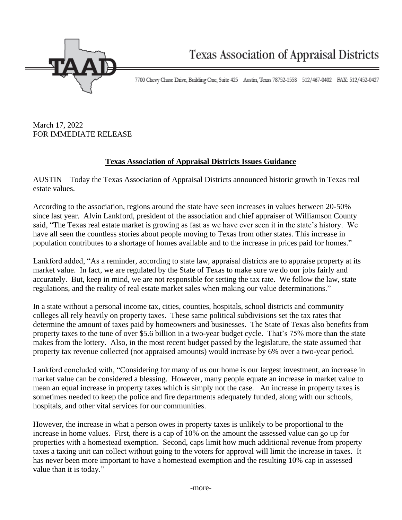

7700 Chevy Chase Drive, Building One, Suite 425 Austin, Texas 78752-1558 512/467-0402 FAX: 512/452-0427

March 17, 2022 FOR IMMEDIATE RELEASE

## **Texas Association of Appraisal Districts Issues Guidance**

AUSTIN – Today the Texas Association of Appraisal Districts announced historic growth in Texas real estate values.

According to the association, regions around the state have seen increases in values between 20-50% since last year. Alvin Lankford, president of the association and chief appraiser of Williamson County said, "The Texas real estate market is growing as fast as we have ever seen it in the state's history. We have all seen the countless stories about people moving to Texas from other states. This increase in population contributes to a shortage of homes available and to the increase in prices paid for homes."

Lankford added, "As a reminder, according to state law, appraisal districts are to appraise property at its market value. In fact, we are regulated by the State of Texas to make sure we do our jobs fairly and accurately. But, keep in mind, we are not responsible for setting the tax rate. We follow the law, state regulations, and the reality of real estate market sales when making our value determinations."

In a state without a personal income tax, cities, counties, hospitals, school districts and community colleges all rely heavily on property taxes. These same political subdivisions set the tax rates that determine the amount of taxes paid by homeowners and businesses. The State of Texas also benefits from property taxes to the tune of over \$5.6 billion in a two-year budget cycle. That's 75% more than the state makes from the lottery. Also, in the most recent budget passed by the legislature, the state assumed that property tax revenue collected (not appraised amounts) would increase by 6% over a two-year period.

Lankford concluded with, "Considering for many of us our home is our largest investment, an increase in market value can be considered a blessing. However, many people equate an increase in market value to mean an equal increase in property taxes which is simply not the case. An increase in property taxes is sometimes needed to keep the police and fire departments adequately funded, along with our schools, hospitals, and other vital services for our communities.

However, the increase in what a person owes in property taxes is unlikely to be proportional to the increase in home values. First, there is a cap of 10% on the amount the assessed value can go up for properties with a homestead exemption. Second, caps limit how much additional revenue from property taxes a taxing unit can collect without going to the voters for approval will limit the increase in taxes. It has never been more important to have a homestead exemption and the resulting 10% cap in assessed value than it is today."